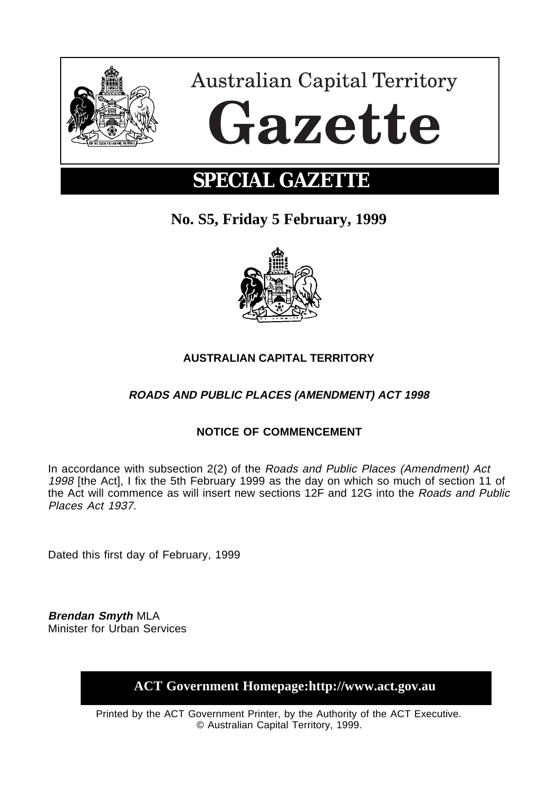

# **Australian Capital Territory** Gazette

# **SPECIAL GAZETTE**

**No. S5, Friday 5 February, 1999**



## **AUSTRALIAN CAPITAL TERRITORY**

### **ROADS AND PUBLIC PLACES (AMENDMENT) ACT 1998**

#### **NOTICE OF COMMENCEMENT**

In accordance with subsection 2(2) of the Roads and Public Places (Amendment) Act 1998 [the Act], I fix the 5th February 1999 as the day on which so much of section 11 of the Act will commence as will insert new sections 12F and 12G into the Roads and Public Places Act 1937.

Dated this first day of February, 1999

**Brendan Smyth** MLA Minister for Urban Services

**ACT Government Homepage:http://www.act.gov.au**

Printed by the ACT Government Printer, by the Authority of the ACT Executive. © Australian Capital Territory, 1999.